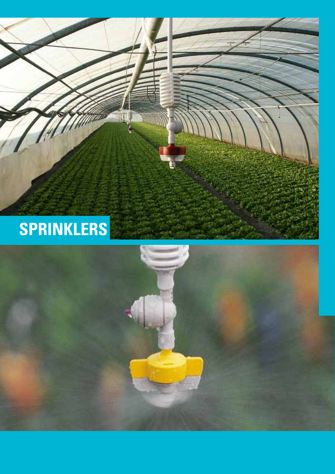

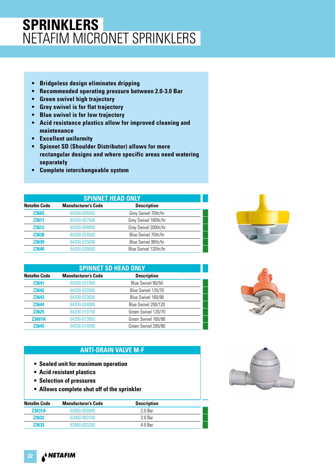## **SPRINKLERS** NETAFIM MICRONET SPRINKLERS

- **Bridgeless design eliminates dripping**
- **Recommended operating pressure between 2.0-3.0 Bar**
- **Green swivel high trajectory**
- **Grey swivel is for flat trajectory**
- **Blue swivel is for low trajectory**
- **Acid resistance plastics allow for improved cleaning and maintenance**
- **Excellent uniformity**
- **Spinnet SD (Shoulder Distributor) allows for more rectangular designs and where specific areas need watering separately**
- **Complete interchangeable system**

| <b>SPINNET HEAD ONLY</b> |                            |                       |  |
|--------------------------|----------------------------|-----------------------|--|
| <b>Netafim Code</b>      | <b>Manufacturer's Code</b> | <b>Description</b>    |  |
| Z3603                    | 64200-005000               | Grey Swivel 70ltr/hr  |  |
| Z3611                    | 64200-007500               | Grey Swivel 160ltr/hr |  |
| Z3612                    | 64200-008000               | Grey Swivel 200ltr/hr |  |
| Z3638                    | 64200-024000               | Blue Swivel 70ltr/hr  |  |
| Z3639                    | 64200-025000               | Blue Swivel 90ltr/hr  |  |
| Z3640                    | 64200-026000               | Blue Swivel 120ltr/hr |  |

| <b>SPINNET SD HEAD ONLY</b> |                            |                     |  |
|-----------------------------|----------------------------|---------------------|--|
| <b>Netafim Code</b>         | <b>Manufacturer's Code</b> | <b>Description</b>  |  |
| Z3641                       | 64200-031950               | Blue Swivel 90/50   |  |
| Z3642                       | 64200-032000               | Blue Swivel 120/70  |  |
| Z3643                       | 64200-033000               | Blue Swivel 160/90  |  |
| Z3644                       | 64200-034000               | Blue Swivel 200/120 |  |
| Z3625                       | 64200-010750               | Green Swivel 120/70 |  |
| <b>Z3607A</b>               | 64200-013950               | Green Swivel 160/90 |  |
| Z3645                       | 64200-014090               | Green Swivel 200/90 |  |

#### **ANTI-DRAIN VALVE M-F**

- **Sealed unit for maximum operation**
- **Acid resistant plastics**
- **Selection of pressures**
- **Allows complete shut off of the sprinkler**

| Netafim Code  | <b>Manufacturer's Code</b> | <b>Description</b> |  |
|---------------|----------------------------|--------------------|--|
| <b>Z3631A</b> | 63000-003000               | 2 O Bar            |  |
| <b>Z3632</b>  | 63000-003100               | 30 Bar             |  |
| <b>Z3633</b>  | 63000-003200               | 4 0 Bar            |  |





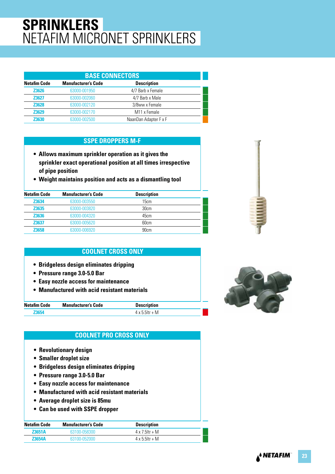# **SPRINKLERS** NETAFIM MICRONET SPRINKLERS

| <b>BASE CONNECTORS</b> |                            |                          |  |
|------------------------|----------------------------|--------------------------|--|
| <b>Netafim Code</b>    | <b>Manufacturer's Code</b> | <b>Description</b>       |  |
| Z3626                  | 63000-001950               | 4/7 Barb x Female        |  |
| <b>Z3627</b>           | 63000-002060               | 4/7 Barb x Male          |  |
| <b>Z3628</b>           | 63000-002120               | 3/8ww x Female           |  |
| <b>Z3629</b>           | 63000-002170               | M <sub>11</sub> x Female |  |
| 73630                  | 63000-002500               | NaanDan Adapter F x F    |  |

#### **SSPE DROPPERS M-F**

- **Allows maximum sprinkler operation as it gives the sprinkler exact operational position at all times irrespective of pipe position**
- **Weight maintains position and acts as a dismantling tool**

| <b>Netafim Code</b> | <b>Manufacturer's Code</b> | <b>Description</b> |  |
|---------------------|----------------------------|--------------------|--|
| Z3634               | 63000-003550               | 15cm               |  |
| Z3635               | 63000-003820               | 30cm               |  |
| Z3636               | 63000-004320               | 45cm               |  |
| Z3637               | 63000-005620               | 60cm               |  |
| Z3658               | 63000-006920               | 90cm               |  |

#### **COOLNET CROSS ONLY**

- **Bridgeless design eliminates dripping**
- **Pressure range 3.0-5.0 Bar**
- **Easy nozzle access for maintenance**
- **Manufactured with acid resistant materials**

| <b>Netafim Code</b> | <b>Manufacturer's Code</b> | <b>Description</b>     |  |
|---------------------|----------------------------|------------------------|--|
|                     |                            | $4 \times 5$ 5 ltr + M |  |

#### **COOLNET PRO CROSS ONLY**

- **Revolutionary design**
- **Smaller droplet size**
- **Bridgeless design eliminates dripping**
- **Pressure range 3.0-5.0 Bar**
- **Easy nozzle access for maintenance**
- **Manufactured with acid resistant materials**
- **Average droplet size is 85mu**
- **Can be used with SSPE dropper**

| Netafim Code  | <b>Manufacturer's Code</b> | <b>Description</b>     |  |
|---------------|----------------------------|------------------------|--|
| <b>Z3651A</b> | 63100-058300               | $4 \times 7$ 5 ltr + M |  |
| <b>Z3654A</b> | 63100-052000               | $4 \times 5$ 5 ltr + M |  |



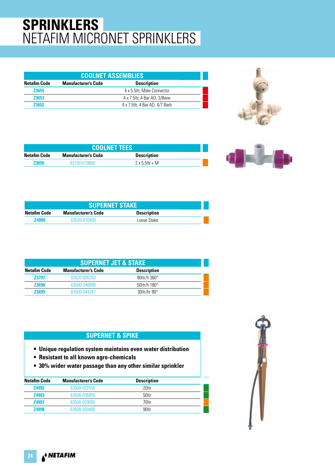# **SPRINKLERS** NETAFIM MICRONET SPRINKLERS

| <b>COOLNET ASSEMBLIES</b> |                            |                                 |  |
|---------------------------|----------------------------|---------------------------------|--|
| <b>Netafim Code</b>       | <b>Manufacturer's Code</b> | <b>Description</b>              |  |
| <b>Z3655</b>              |                            | 4 x 5.5ltr, Male Connector      |  |
| <b>Z3653</b>              |                            | 4 x 7.5 ltr, 4 Bar AD, 3/8 ww   |  |
| 73652                     |                            | 4 x 7.5 ltr. 4 Bar AD, 4/7 Barb |  |



| <b>COOLNET TEES</b> |                            |                        |  |
|---------------------|----------------------------|------------------------|--|
| Netafim Code        | <b>Manufacturer's Code</b> | <b>Description</b>     |  |
| 73656               | 63100-018800               | $2 \times 5$ 5 ltr + M |  |



| <b>SUPERNET STAKE</b> |                            |                    |  |
|-----------------------|----------------------------|--------------------|--|
| <b>Netafim Code</b>   | <b>Manufacturer's Code</b> | <b>Description</b> |  |
| <b>Z4999</b>          | 63520-010450               | Loose Stake        |  |

| <b>SUPERNET JET &amp; STAKE</b> |                            |                     |  |
|---------------------------------|----------------------------|---------------------|--|
| <b>Netafim Code</b>             | <b>Manufacturer's Code</b> | <b>Description</b>  |  |
| <b>Z3797</b>                    | 63520-005350               | 90 tr/h $360^\circ$ |  |
| Z3698                           | 63500-046890               | 50 tr/h $180^\circ$ |  |
| <b>Z3699</b>                    | 63500-044267               | 30ltr/hr 90°        |  |

#### **SUPERNET & SPIKE**

- **Unique regulation system maintains even water distribution**
- **Resistant to all known agro-chemicals**
- **30% wider water passage than any other similar sprinkler**

| Netafim Code | <b>Manufacturer's Code</b> | <b>Description</b> |  |
|--------------|----------------------------|--------------------|--|
| <b>Z4992</b> | 63500-022550               | 20ltr              |  |
| <b>Z4993</b> | 63500-036855               | 50ltr              |  |
| <b>Z4997</b> | 63500-029050               | 70ltr              |  |
| <b>Z4998</b> | 63500-030400               | 90ltr              |  |

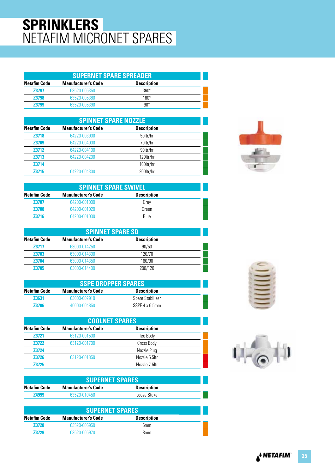## **SPRINKLERS** NETAFIM MICRONET SPARES

| <b>SUPERNET SPARE SPREADER</b> |                            |                    |  |
|--------------------------------|----------------------------|--------------------|--|
| <b>Netafim Code</b>            | <b>Manufacturer's Code</b> | <b>Description</b> |  |
| <b>Z3797</b>                   | 63520-005350               | $360^\circ$        |  |
| <b>Z3798</b>                   | 63520-005380               | $180^\circ$        |  |
| <b>Z3799</b>                   | 63520-005390               | $90^{\circ}$       |  |

|                     | <b>SPINNET SPARE NOZZLE</b> |                    |  |  |
|---------------------|-----------------------------|--------------------|--|--|
| <b>Netafim Code</b> | <b>Manufacturer's Code</b>  | <b>Description</b> |  |  |
| Z3718               | 64220-003900                | 50ltr/hr           |  |  |
| Z3709               | 64220-004000                | 70ltr/hr           |  |  |
| Z3712               | 64220-004100                | 90ltr/hr           |  |  |
| Z3713               | 64220-004200                | 120ltr/hr          |  |  |
| Z3714               |                             | 160ltr/hr          |  |  |
| <b>Z3715</b>        | 64220-004300                | 200ltr/hr          |  |  |

|                     | <b>SPINNET SPARE SWIVEL</b> |                    |  |  |
|---------------------|-----------------------------|--------------------|--|--|
| <b>Netafim Code</b> | <b>Manufacturer's Code</b>  | <b>Description</b> |  |  |
| <b>Z3707</b>        | 64200-001000                | Grev               |  |  |
| <b>Z3708</b>        | 64200-001020                | Green              |  |  |
| <b>Z3716</b>        | 64200-001030                | Blue               |  |  |

|                     | <b>SPINNET SPARE SD</b>    |                    |  |  |
|---------------------|----------------------------|--------------------|--|--|
| <b>Netafim Code</b> | <b>Manufacturer's Code</b> | <b>Description</b> |  |  |
| <b>Z3717</b>        | 63000-014250               | 90/50              |  |  |
| <b>Z3703</b>        | 63000-014300               | 120/70             |  |  |
| <b>Z3704</b>        | 63000-014350               | 160/90             |  |  |
| <b>Z3705</b>        | 63000-014400               | 200/120            |  |  |

| <b>SSPE DROPPER SPARES</b> |                            |                    |  |
|----------------------------|----------------------------|--------------------|--|
| Netafim Code               | <b>Manufacturer's Code</b> | <b>Description</b> |  |
| <b>Z3631</b>               | 63000-002910               | Spare Stabiliser   |  |
| 73706                      | 40000-004850               | SSPE 4 x 6.5mm     |  |

| <b>COOLNET SPARES</b> |                            |                    |  |
|-----------------------|----------------------------|--------------------|--|
| <b>Netafim Code</b>   | <b>Manufacturer's Code</b> | <b>Description</b> |  |
| Z3721                 | 63120-001500               | Tee Body           |  |
| <b>Z3722</b>          | 63120-001700               | Cross Body         |  |
| <b>Z3724</b>          |                            | Nozzle Plug        |  |
| <b>Z3726</b>          | 63120-001850               | Nozzle 5.5ltr      |  |
| 73725                 |                            | Nozzle 7 5ltr      |  |

| <b>SUPERNET SPARES</b> |                            |                    |  |
|------------------------|----------------------------|--------------------|--|
| Netafim Code           | <b>Manufacturer's Code</b> | <b>Description</b> |  |
| <b>Z4999</b>           | 63520-010450               | Loose Stake        |  |

| <b>SUPERNET SPARES</b> |                            |                    |  |
|------------------------|----------------------------|--------------------|--|
| Netafim Code           | <b>Manufacturer's Code</b> | <b>Description</b> |  |
| <b>Z3728</b>           | 63520-005950               | 6 <sub>mm</sub>    |  |
| 73729                  | 63520-005970               | 8 <sub>mm</sub>    |  |





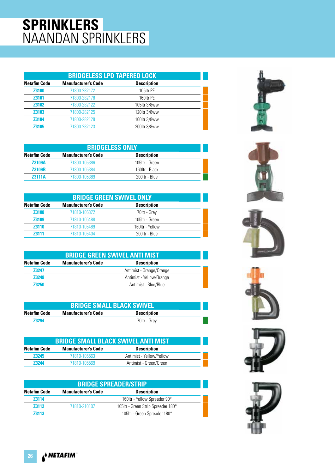## **SPRINKLERS** NAANDAN SPRINKLERS

| <b>BRIDGELESS LPD TAPERED LOCK</b> |                            |                    |  |
|------------------------------------|----------------------------|--------------------|--|
| <b>Netafim Code</b>                | <b>Manufacturer's Code</b> | <b>Description</b> |  |
| Z3100                              | 71800-282172               | 105ltr PE          |  |
| Z3101                              | 71800-282178               | 160ltr PE          |  |
| <b>Z3102</b>                       | 71800-282122               | 105 tr 3/8ww       |  |
| Z3103                              | 71800-282125               | 120ltr 3/8ww       |  |
| Z3104                              | 71800-282128               | 160 tr 3/8ww       |  |
| <b>Z3105</b>                       | 71800-282123               | 200ltr 3/8ww       |  |

|                     | <b>BRIDGELESS ONLY</b>     |                    |  |  |
|---------------------|----------------------------|--------------------|--|--|
| <b>Netafim Code</b> | <b>Manufacturer's Code</b> | <b>Description</b> |  |  |
| <b>Z3109A</b>       | 71800-105386               | 105ltr - Green     |  |  |
| <b>Z3109B</b>       | 71800-105384               | 160ltr - Black     |  |  |
| <b>Z3111A</b>       | 71800-105389               | 200ltr - Blue      |  |  |

| <b>BRIDGE GREEN SWIVEL ONLY</b> |                            |                    |  |
|---------------------------------|----------------------------|--------------------|--|
| <b>Netafim Code</b>             | <b>Manufacturer's Code</b> | <b>Description</b> |  |
| <b>Z3108</b>                    | 71810-105372               | 70ltr - Grey       |  |
| <b>Z3109</b>                    | 71810-105488               | 105ltr - Green     |  |
| <b>Z3110</b>                    | 71810-105489               | 160ltr - Yellow    |  |
| 73111                           | 71810-105404               | 200ltr - Blue      |  |

| <b>BRIDGE GREEN SWIVEL ANTI MIST</b>                                    |  |                          |  |  |
|-------------------------------------------------------------------------|--|--------------------------|--|--|
| <b>Description</b><br><b>Netafim Code</b><br><b>Manufacturer's Code</b> |  |                          |  |  |
| <b>Z3247</b>                                                            |  | Antimist - Orange/Orange |  |  |
| <b>Z3248</b>                                                            |  | Antimist - Yellow/Orange |  |  |
| 73250                                                                   |  | Antimist - Blue/Blue     |  |  |

| <b>BRIDGE SMALL BLACK SWIVEL</b> |                                                  |              |  |  |
|----------------------------------|--------------------------------------------------|--------------|--|--|
| Netafim Code                     | <b>Manufacturer's Code</b><br><b>Description</b> |              |  |  |
| <b>Z3294</b>                     |                                                  | 70ltr - Grev |  |  |

| <b>BRIDGE SMALL BLACK SWIVEL ANTI MIST</b> |                            |                          |  |
|--------------------------------------------|----------------------------|--------------------------|--|
| Netafim Code                               | <b>Manufacturer's Code</b> | <b>Description</b>       |  |
| <b>Z3245</b>                               | 71810-105563               | Antimist - Yellow/Yellow |  |
| 73244                                      | 71810-105569               | Antimist - Green/Green   |  |

| <b>BRIDGE SPREADER/STRIP</b>                                            |              |                                     |  |
|-------------------------------------------------------------------------|--------------|-------------------------------------|--|
| <b>Manufacturer's Code</b><br><b>Description</b><br><b>Netafim Code</b> |              |                                     |  |
| <b>Z3114</b>                                                            |              | 160ltr - Yellow Spreader 90°        |  |
| <b>Z3112</b>                                                            | 71810-210107 | 105 Itr - Green Strip Spreader 180° |  |
| 73113                                                                   |              | 105Itr - Green Spreader 180°        |  |











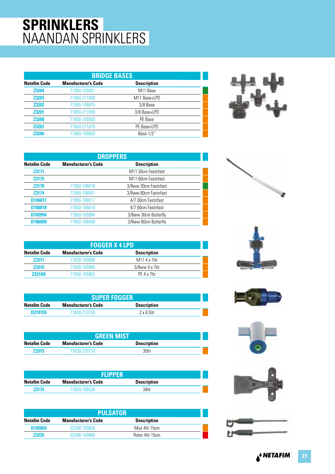## **SPRINKLERS** NAANDAN SPRINKLERS

| <b>BRIDGE BASES</b>        |                      |  |  |
|----------------------------|----------------------|--|--|
| <b>Manufacturer's Code</b> | <b>Description</b>   |  |  |
| 71850-105931               | M <sub>11</sub> Base |  |  |
| 71850-211009               | M11 Base+LPD         |  |  |
| 71850-105915               | 3/8 Base             |  |  |
| 71850-211000               | 3/8 Base+LPD         |  |  |
| 71850-105930               | PE Base              |  |  |
| 71850-211010               | PE Base+LPD          |  |  |
| 71850-105920               | Base 1/2"            |  |  |
|                            |                      |  |  |



| <b>DROPPERS</b>     |                            |                                |  |
|---------------------|----------------------------|--------------------------------|--|
| <b>Netafim Code</b> | <b>Manufacturer's Code</b> | <b>Description</b>             |  |
| Z3171               |                            | M <sub>11</sub> 30cm Fastnfast |  |
| Z3175               |                            | M <sub>11</sub> 60cm Fastnfast |  |
| Z3170               | 71850-106016               | 3/8ww 30cm Fastnfast           |  |
| <b>Z3174</b>        | 71850-106001               | 3/8ww 60cm Fastnfast           |  |
| D106017             | 71850-106017               | 4/7 30cm Fastnfast             |  |
| D106018             | 71850-106018               | 4/7 60cm Fastnfast             |  |
| D105994             | 71850-105994               | 3/8ww 30cm Butterfly           |  |
| D106009             | 71850-106009               | 3/8ww 60cm Butterfly           |  |

| <b>FOGGER X 4 LPD</b> |                            |                    |  |
|-----------------------|----------------------------|--------------------|--|
| Netafim Code          | <b>Manufacturer's Code</b> | <b>Description</b> |  |
| <b>Z3311</b>          | 71830-105990               | M11 4 x 7ltr       |  |
| <b>Z3310</b>          | 71830-105985               | $3/8$ ww 4 x 7ltr  |  |
| <b>Z3310A</b>         | 71830-105983               | $PF$ 4 x 7 $I$ tr  |  |

| <b>SUPER FOGGER</b>                                              |              |                    |  |
|------------------------------------------------------------------|--------------|--------------------|--|
| Netafim Code<br><b>Description</b><br><b>Manufacturer's Code</b> |              |                    |  |
| D <sub>210155</sub>                                              | 71830-210155 | $2 \times 6$ 5 ltr |  |

| <b>GREEN MIST</b>                                                |              |       |  |
|------------------------------------------------------------------|--------------|-------|--|
| Netafim Code<br><b>Manufacturer's Code</b><br><b>Description</b> |              |       |  |
| <b>Z3315</b>                                                     | 71830-210110 | 30ltr |  |

|                     | <b>FLIPPER</b>             |                    |  |
|---------------------|----------------------------|--------------------|--|
| <b>Netafim Code</b> | <b>Manufacturer's Code</b> | <b>Description</b> |  |
| 73173               | 71820-106026               | 34ltr              |  |

| <b>PULSATOR</b> |                            |                    |  |
|-----------------|----------------------------|--------------------|--|
| Netafim Code    | <b>Manufacturer's Code</b> | <b>Description</b> |  |
| D105854         | 02206-105854               | Mist 4ltr 15cm     |  |
| <b>Z3235</b>    | 02206-105800               | Rotor 4ltr 15cm    |  |











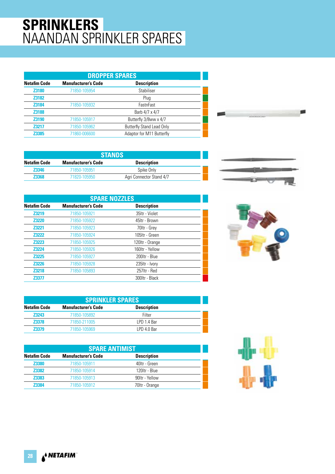## **SPRINKLERS** NAANDAN SPRINKLER SPARES

| <b>DROPPER SPARES</b> |                            |                                  |  |
|-----------------------|----------------------------|----------------------------------|--|
| <b>Netafim Code</b>   | <b>Manufacturer's Code</b> | <b>Description</b>               |  |
| Z3180                 | 71850-105954               | Stabiliser                       |  |
| Z3182                 |                            | Plug                             |  |
| Z3184                 | 71850-105932               | FastnFast                        |  |
| Z3188                 |                            | Barb 4/7 x 4/7                   |  |
| Z3190                 | 71850-105917               | Butterfly 3/8ww x 4/7            |  |
| <b>Z3217</b>          | 71850-105962               | <b>Butterfly Stand Lead Only</b> |  |
| Z3385                 | 71860-006600               | Adaptor for M11 Butterfly        |  |

| <b>STANDS</b> |                            |                          |  |
|---------------|----------------------------|--------------------------|--|
| Netafim Code  | <b>Manufacturer's Code</b> | <b>Description</b>       |  |
| <b>Z3346</b>  | 71850-105951               | Spike Only               |  |
| 73368         | 71820-105950               | Agri Connector Stand 4/7 |  |

| <b>SPARE NOZZLES</b> |                            |                    |  |
|----------------------|----------------------------|--------------------|--|
| <b>Netafim Code</b>  | <b>Manufacturer's Code</b> | <b>Description</b> |  |
| Z3219                | 71850-105921               | 35ltr - Violet     |  |
| <b>Z3220</b>         | 71850-105922               | 45ltr - Brown      |  |
| <b>Z3221</b>         | 71850-105923               | 70ltr - Grey       |  |
| <b>Z3222</b>         | 71850-105924               | 105ltr - Green     |  |
| <b>Z3223</b>         | 71850-105925               | 120ltr - Orange    |  |
| <b>Z3224</b>         | 71850-105926               | 160ltr - Yellow    |  |
| <b>Z3225</b>         | 71850-105927               | 200ltr - Blue      |  |
| <b>Z3226</b>         | 71850-105928               | 235ltr - Ivory     |  |
| Z3218                | 71850-105893               | 257ltr - Red       |  |
| Z3377                |                            | 300ltr - Black     |  |

|   |   | -   |
|---|---|-----|
| - |   | --- |
| - | - |     |



| <b>SPRINKLER SPARES</b> |                            |                    |  |
|-------------------------|----------------------------|--------------------|--|
| <b>Netafim Code</b>     | <b>Manufacturer's Code</b> | <b>Description</b> |  |
| <b>Z3243</b>            | 71850-105892               | Filter             |  |
| <b>Z3378</b>            | 71850-211005               | LPD 1.4 Bar        |  |
| <b>Z3379</b>            | 71850-105969               | LPD 4.0 Bar        |  |

| <b>SPARE ANTIMIST</b> |                            |                    |  |
|-----------------------|----------------------------|--------------------|--|
| <b>Netafim Code</b>   | <b>Manufacturer's Code</b> | <b>Description</b> |  |
| <b>Z3380</b>          | 71850-105911               | 40ltr - Green      |  |
| Z3382                 | 71850-105914               | 120ltr - Blue      |  |
| Z3383                 | 71850-105913               | 90ltr - Yellow     |  |
| <b>Z3384</b>          | 71850-105912               | 70ltr - Orange     |  |

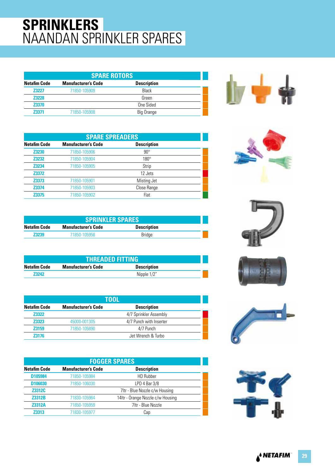## **SPRINKLERS** NAANDAN SPRINKLER SPARES

| <b>SPARE ROTORS</b> |                            |                    |  |
|---------------------|----------------------------|--------------------|--|
| <b>Netafim Code</b> | <b>Manufacturer's Code</b> | <b>Description</b> |  |
| <b>Z3227</b>        | 71850-105909               | Black              |  |
| <b>Z3228</b>        |                            | Green              |  |
| Z3370               |                            | One Sided          |  |
| <b>Z3371</b>        | 71850-105908               | Big Orange         |  |



| <b>SPARE SPREADERS</b> |                            |                    |  |
|------------------------|----------------------------|--------------------|--|
| <b>Netafim Code</b>    | <b>Manufacturer's Code</b> | <b>Description</b> |  |
| <b>Z3230</b>           | 71850-105906               | $90^{\circ}$       |  |
| <b>Z3232</b>           | 71850-105904               | $180^\circ$        |  |
| Z3234                  | 71850-105905               | Strip              |  |
| Z3372                  |                            | 12 Jets            |  |
| Z3373                  | 71850-105901               | Misting Jet        |  |
| Z3374                  | 71850-105903               | Close Range        |  |
| Z3375                  | 71850-105902               | Flat               |  |









| NGIANNI VUUG | wanulactura s vouc | Description |  |
|--------------|--------------------|-------------|--|
| Z3230        | 71850-105906       | $90^\circ$  |  |
| Z3232        | 71850-105904       | $180^\circ$ |  |
| Z3234        | 71850-105905       | Strip       |  |
| Z3372        |                    | 12 Jets     |  |
| Z3373        | 71850-105901       | Misting Jet |  |
| Z3374        | 71850-105903       | Close Range |  |
| Z3375        | 71850-105902       | Flat        |  |
|              |                    |             |  |
|              |                    |             |  |

| <b>SPRINKLER SPARES</b> |                            |                    |  |
|-------------------------|----------------------------|--------------------|--|
| <b>Netafim Code</b>     | <b>Manufacturer's Code</b> | <b>Description</b> |  |
| <b>Z3239</b>            | 71850-105958               | <b>Bridge</b>      |  |

| <b>THREADED FITTING</b> |                            |                    |  |
|-------------------------|----------------------------|--------------------|--|
| Netafim Code            | <b>Manufacturer's Code</b> | <b>Description</b> |  |
| 73242                   |                            | Nipple 1/2"        |  |

| TOOL         |                            |                         |  |
|--------------|----------------------------|-------------------------|--|
| Netafim Code | <b>Manufacturer's Code</b> | <b>Description</b>      |  |
| <b>Z3322</b> |                            | 4/7 Sprinkler Assembly  |  |
| <b>Z3323</b> | 45000-001305               | 4/7 Punch with Inserter |  |
| <b>Z3159</b> | 71850-105890               | 4/7 Punch               |  |
| 73176        |                            | Jet Wrench & Turbo      |  |

| <b>FOGGER SPARES</b> |                            |                                   |
|----------------------|----------------------------|-----------------------------------|
| <b>Netafim Code</b>  | <b>Manufacturer's Code</b> | <b>Description</b>                |
| D105984              | 71850-105984               | HD Rubber                         |
| D <sub>106030</sub>  | 71850-106030               | LPD 4 Bar 3/8                     |
| Z3312C               |                            | 7ltr - Blue Nozzle c/w Housing    |
| <b>Z3312B</b>        | 71830-105964               | 14ltr - Orange Nozzle c/w Housing |
| <b>Z3312A</b>        | 71850-105959               | 7ltr - Blue Nozzle                |
| <b>Z3313</b>         | 71830-105977               | Cap                               |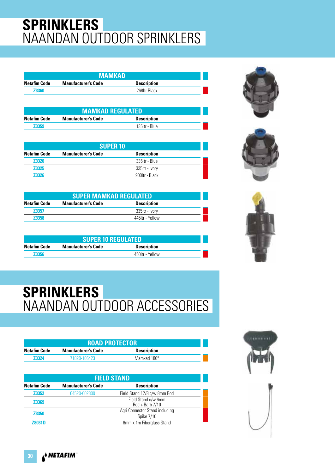# **SPRINKLERS** NAANDAN OUTDOOR SPRINKLERS

| MAMKAD              |                            |                    |  |
|---------------------|----------------------------|--------------------|--|
| <b>Netafim Code</b> | <b>Manufacturer's Code</b> | <b>Description</b> |  |
| <b>Z3360</b>        |                            | 268 Itr Black      |  |

| <b>MAMKAD REGULATED</b> |                            |                    |  |
|-------------------------|----------------------------|--------------------|--|
| <b>Netafim Code</b>     | <b>Manufacturer's Code</b> | <b>Description</b> |  |
| 73359                   |                            | 135 tr - Blue      |  |

| <b>SUPER 10</b>     |                            |                    |  |
|---------------------|----------------------------|--------------------|--|
| <b>Netafim Code</b> | <b>Manufacturer's Code</b> | <b>Description</b> |  |
| <b>Z3320</b>        |                            | 335ltr - Blue      |  |
| <b>Z3325</b>        |                            | 335ltr - Ivorv     |  |
| 73326               |                            | 900ltr - Black     |  |

| <b>SUPER MAMKAD REGULATED</b>                                    |                  |                |  |  |
|------------------------------------------------------------------|------------------|----------------|--|--|
| Netafim Code<br><b>Description</b><br><b>Manufacturer's Code</b> |                  |                |  |  |
| <b>Z3357</b>                                                     |                  | 335ltr - Ivorv |  |  |
| 73358                                                            | 445 Itr - Yellow |                |  |  |

| <b>SUPER 10 REGULATED</b> |                            |                    |  |
|---------------------------|----------------------------|--------------------|--|
| Netafim Code              | <b>Manufacturer's Code</b> | <b>Description</b> |  |
| <b>Z3356</b>              |                            | 450 Itr - Yellow   |  |







# **SPRINKLERS** NAANDAN OUTDOOR ACCESSORIES

| <b>ROAD PROTECTOR</b> |                            |                    |  |
|-----------------------|----------------------------|--------------------|--|
| Netafim Code          | <b>Manufacturer's Code</b> | <b>Description</b> |  |
| <b>Z3324</b>          | 71820-105423               | Mamkad 180°        |  |

| <b>FIELD STAND</b>  |                            |                                          |  |
|---------------------|----------------------------|------------------------------------------|--|
| <b>Netafim Code</b> | <b>Manufacturer's Code</b> | <b>Description</b>                       |  |
| Z3352               | 64520-002300               | Field Stand 12/8 c/w 8mm Rod             |  |
| <b>Z3369</b>        |                            | Field Stand c/w 6mm<br>$Rod + Barb 7/10$ |  |
| <b>Z3350</b>        |                            | Agri Connector Stand including           |  |
|                     |                            | Spike 7/10                               |  |
| <b>Z8031D</b>       |                            | 8mm x 1m Fiberglass Stand                |  |

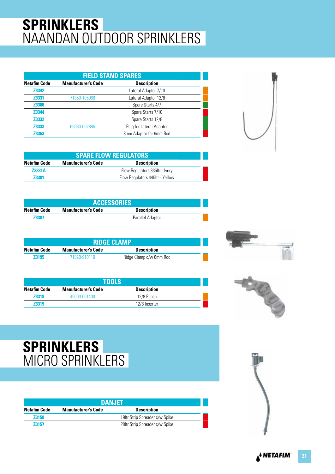# **SPRINKLERS** NAANDAN OUTDOOR SPRINKLERS

| <b>FIELD STAND SPARES</b> |                            |                          |  |
|---------------------------|----------------------------|--------------------------|--|
| <b>Netafim Code</b>       | <b>Manufacturer's Code</b> | <b>Description</b>       |  |
| Z3342                     |                            | Lateral Adaptor 7/10     |  |
| Z3331                     | 71850-105960               | Lateral Adaptor 12/8     |  |
| Z3386                     |                            | Spare Starts 4/7         |  |
| Z3344                     |                            | Spare Starts 7/10        |  |
| Z3332                     |                            | Spare Starts 12/8        |  |
| Z3333                     | 65080-002885               | Plug for Lateral Adaptor |  |
| <b>Z3363</b>              |                            | 8mm Adaptor for 6mm Rod  |  |

| <b>SPARE FLOW REGULATORS</b> |                            |                                 |  |
|------------------------------|----------------------------|---------------------------------|--|
| <b>Netafim Code</b>          | <b>Manufacturer's Code</b> | <b>Description</b>              |  |
| <b>Z3381A</b>                |                            | Flow Regulators 335 ftr - Ivory |  |
| <b>Z3381</b>                 |                            | Flow Regulators 445ltr - Yellow |  |

| <b>ACCESSORIES</b> |                            |                    |  |
|--------------------|----------------------------|--------------------|--|
| Netafim Code       | <b>Manufacturer's Code</b> | <b>Description</b> |  |
| <b>Z3387</b>       |                            | Parallel Adaptor   |  |

| <b>RIDGE CLAMP</b>                                               |              |                         |  |
|------------------------------------------------------------------|--------------|-------------------------|--|
| Netafim Code<br><b>Manufacturer's Code</b><br><b>Description</b> |              |                         |  |
| <b>Z3195</b>                                                     | 71820-910110 | Ridge Clamp c/w 6mm Rod |  |

| TOOLS        |                            |                    |  |  |
|--------------|----------------------------|--------------------|--|--|
| Netafim Code | <b>Manufacturer's Code</b> | <b>Description</b> |  |  |
| <b>Z3318</b> | 45000-001400               | 12/8 Punch         |  |  |
| <b>Z3319</b> |                            | 12/8 Inserter      |  |  |





## **SPRINKLERS** MICRO SPRINKLERS

| <b>DANJET</b>                                                    |  |                                 |  |  |
|------------------------------------------------------------------|--|---------------------------------|--|--|
| Netafim Code<br><b>Manufacturer's Code</b><br><b>Description</b> |  |                                 |  |  |
| <b>Z3158</b>                                                     |  | 19 Itr Strip Spreader c/w Spike |  |  |
| 73157                                                            |  | 28Itr Strip Spreader c/w Spike  |  |  |

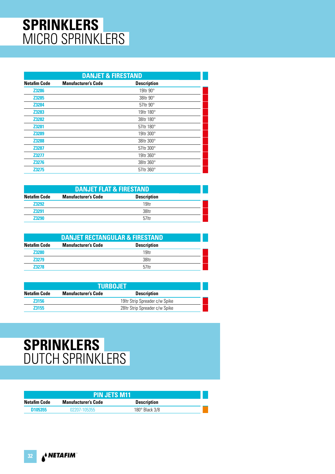## **SPRINKLERS** MICRO SPRINKLERS

|                     | <b>DANJET &amp; FIRESTAND</b> |                    |  |  |
|---------------------|-------------------------------|--------------------|--|--|
| <b>Netafim Code</b> | <b>Manufacturer's Code</b>    | <b>Description</b> |  |  |
| <b>Z3286</b>        |                               | 19 tr 90°          |  |  |
| Z3285               |                               | 38 tr $90^\circ$   |  |  |
| Z3284               |                               | 57 Itr 90°         |  |  |
| Z3283               |                               | 19 tr 180°         |  |  |
| <b>Z3282</b>        |                               | 38 tr 180°         |  |  |
| Z3281               |                               | 57 Itr 180°        |  |  |
| Z3289               |                               | 19 tr 300°         |  |  |
| Z3288               |                               | 38 Itr 300°        |  |  |
| Z3287               |                               | 57 Itr 300°        |  |  |
| <b>Z3277</b>        |                               | 19 tr 360°         |  |  |
| <b>Z3276</b>        |                               | 38 tr 360°         |  |  |
| Z3275               |                               | 57 Itr 360°        |  |  |

| <b>DANJET FLAT &amp; FIRESTAND</b> |                            |                    |  |
|------------------------------------|----------------------------|--------------------|--|
| <b>Netafim Code</b>                | <b>Manufacturer's Code</b> | <b>Description</b> |  |
| <b>Z3292</b>                       |                            | 19 <sub>ltr</sub>  |  |
| <b>Z3291</b>                       |                            | 38ltr              |  |
| <b>Z3290</b>                       |                            | 57ltr              |  |

| <b>DANJET RECTANGULAR &amp; FIRESTAND</b> |                            |                    |  |
|-------------------------------------------|----------------------------|--------------------|--|
| <b>Netafim Code</b>                       | <b>Manufacturer's Code</b> | <b>Description</b> |  |
| <b>Z3280</b>                              |                            | 19 <sub>ltr</sub>  |  |
| <b>Z3279</b>                              |                            | 38ltr              |  |
| <b>Z3278</b>                              |                            | 57 <sub>ltr</sub>  |  |

| <b>TURBOJET</b>                                                  |                                |                                |  |  |
|------------------------------------------------------------------|--------------------------------|--------------------------------|--|--|
| Netafim Code<br><b>Description</b><br><b>Manufacturer's Code</b> |                                |                                |  |  |
| <b>Z3156</b>                                                     |                                | 191tr Strip Spreader c/w Spike |  |  |
| <b>Z3155</b>                                                     | 28Itr Strip Spreader c/w Spike |                                |  |  |

### **SPRINKLERS** DUTCH SPRINKLERS

| <b>PIN JETS M11</b> |                            |                         |  |
|---------------------|----------------------------|-------------------------|--|
| Netafim Code        | <b>Manufacturer's Code</b> | <b>Description</b>      |  |
| D <sub>105355</sub> | 02207-105355               | $180^\circ$ Black $3/8$ |  |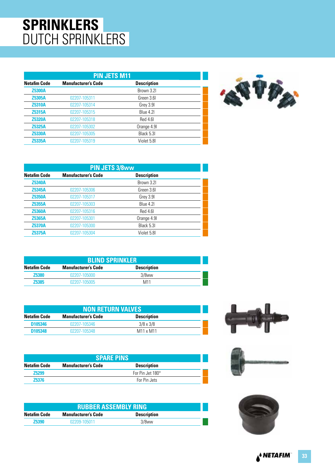## **SPRINKLERS** DUTCH SPRINKLERS

| <b>PIN JETS M11</b> |                            |                    |  |
|---------------------|----------------------------|--------------------|--|
| <b>Netafim Code</b> | <b>Manufacturer's Code</b> | <b>Description</b> |  |
| <b>Z5300A</b>       |                            | Brown 3.21         |  |
| <b>Z5305A</b>       | 02207-105311               | Green 3 6L         |  |
| <b>Z5310A</b>       | 02207-105314               | Grey 3.9I          |  |
| <b>Z5315A</b>       | 02207-105315               | Blue 4.2           |  |
| <b>Z5320A</b>       | 02207-105318               | Red 4.61           |  |
| <b>Z5325A</b>       | 02207-105302               | Orange 4.9         |  |
| <b>Z5330A</b>       | 02207-105305               | Black 5.3L         |  |
| <b>Z5335A</b>       | 02207-105319               | Violet 5.8I        |  |



| <b>PIN JETS 3/8ww</b> |                            |                    |  |
|-----------------------|----------------------------|--------------------|--|
| <b>Netafim Code</b>   | <b>Manufacturer's Code</b> | <b>Description</b> |  |
| <b>Z5340A</b>         |                            | Brown 3.21         |  |
| <b>Z5345A</b>         | 02207-105306               | Green 3.61         |  |
| <b>Z5350A</b>         | 02207-105317               | Grey 3.91          |  |
| Z5355A                | 02207-105303               | Blue 4.2           |  |
| <b>Z5360A</b>         | 02207-105316               | Red 4.6I           |  |
| <b>Z5365A</b>         | 02207-105301               | Orange 4.9         |  |
| <b>Z5370A</b>         | 02207-105300               | Black 5.3I         |  |
| <b>Z5375A</b>         | 02207-105304               | Violet 5.8I        |  |

| <b>BLIND SPRINKLER</b> |                            |                    |  |
|------------------------|----------------------------|--------------------|--|
| Netafim Code           | <b>Manufacturer's Code</b> | <b>Description</b> |  |
| <b>Z5380</b>           | 02207-105000               | $3/8$ ww           |  |
| <b>Z5385</b>           | 02207-105005               | M11                |  |

| <b>NON RETURN VALVES</b> |                            |                                   |  |
|--------------------------|----------------------------|-----------------------------------|--|
| <b>Netafim Code</b>      | <b>Manufacturer's Code</b> | <b>Description</b>                |  |
| D <sub>105346</sub>      | 02207-105346               | $3/8 \times 3/8$                  |  |
| D <sub>105348</sub>      | 02207-105348               | M <sub>11</sub> x M <sub>11</sub> |  |

| <b>SPARE PINS</b>   |                            |                    |  |
|---------------------|----------------------------|--------------------|--|
| <b>Netafim Code</b> | <b>Manufacturer's Code</b> | <b>Description</b> |  |
| <b>Z5299</b>        |                            | For Pin Jet 180°   |  |
| <b>Z5376</b>        |                            | For Pin Jets       |  |

| <b>RUBBER ASSEMBLY RING</b> |                            |                    |  |
|-----------------------------|----------------------------|--------------------|--|
| Netafim Code                | <b>Manufacturer's Code</b> | <b>Description</b> |  |
| <b>Z5390</b>                | 02209-105011               | $3/8$ ww           |  |





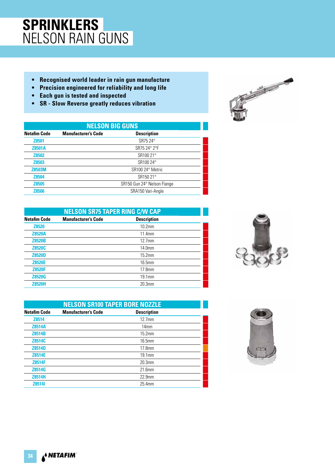## **SPRINKLERS** NELSON RAIN GUNS

- **Recognised world leader in rain gun manufacture**
- **Precision engineered for reliability and long life**
- **Each gun is tested and inspected**
- **SR Slow Reverse greatly reduces vibration**

| <b>NELSON BIG GUNS</b> |                            |                             |  |
|------------------------|----------------------------|-----------------------------|--|
| <b>Netafim Code</b>    | <b>Manufacturer's Code</b> | <b>Description</b>          |  |
| Z8501                  |                            | SR75 24°                    |  |
| <b>Z8501A</b>          |                            | SR75 24° 2°F                |  |
| <b>Z8502</b>           |                            | SR100 21°                   |  |
| <b>Z8503</b>           |                            | SR100 24°                   |  |
| <b>Z8503M</b>          |                            | SR100 24° Metric            |  |
| <b>Z8504</b>           |                            | SR150 21°                   |  |
| <b>Z8505</b>           |                            | SR150 Gun 24° Nelson Flange |  |
| <b>Z8506</b>           |                            | SRA150 Vari-Angle           |  |

| <b>NELSON SR75 TAPER RING C/W CAP</b> |                            |                    |  |
|---------------------------------------|----------------------------|--------------------|--|
| <b>Netafim Code</b>                   | <b>Manufacturer's Code</b> | <b>Description</b> |  |
| <b>Z8520</b>                          |                            | 10.2 <sub>mm</sub> |  |
| <b>Z8520A</b>                         |                            | 11.4mm             |  |
| <b>Z8520B</b>                         |                            | $12.7$ mm          |  |
| <b>Z8520C</b>                         |                            | 14.0mm             |  |
| <b>Z8520D</b>                         |                            | 15.2mm             |  |
| <b>Z8520E</b>                         |                            | 16.5mm             |  |
| <b>Z8520F</b>                         |                            | 17.8mm             |  |
| <b>Z8520G</b>                         |                            | 19.1mm             |  |
| <b>Z8520H</b>                         |                            | 20.3 <sub>mm</sub> |  |









A<sup>&</sup> NETAFIM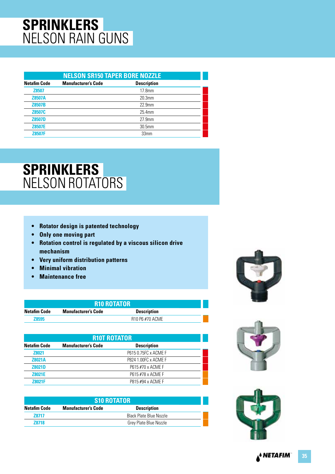## **SPRINKLERS** NELSON RAIN GUNS

| <b>NELSON SR150 TAPER BORE NOZZLE</b> |                            |                    |  |
|---------------------------------------|----------------------------|--------------------|--|
| <b>Netafim Code</b>                   | <b>Manufacturer's Code</b> | <b>Description</b> |  |
| <b>Z8507</b>                          |                            | 17.8 <sub>mm</sub> |  |
| <b>Z8507A</b>                         |                            | 20.3 <sub>mm</sub> |  |
| <b>Z8507B</b>                         |                            | 22.9mm             |  |
| Z8507C                                |                            | 25.4mm             |  |
| <b>Z8507D</b>                         |                            | $27.9$ mm          |  |
| <b>Z8507E</b>                         |                            | 30.5mm             |  |
| <b>Z8507F</b>                         |                            | 33mm               |  |

## **SPRINKLERS** NELSON ROTATORS

- **Rotator design is patented technology**
- **Only one moving part**
- **Rotation control is regulated by a viscous silicon drive mechanism**
- **Very uniform distribution patterns**
- **Minimal vibration**
- **Maintenance free**

| <b>R10 ROTATOR</b> |                            |                    |  |
|--------------------|----------------------------|--------------------|--|
| Netafim Code       | <b>Manufacturer's Code</b> | <b>Description</b> |  |
| 78595              |                            | R10 P6 #70 ACME    |  |

| <b>R10T ROTATOR</b> |                            |                      |  |
|---------------------|----------------------------|----------------------|--|
| <b>Netafim Code</b> | <b>Manufacturer's Code</b> | <b>Description</b>   |  |
| <b>Z8021</b>        |                            | P615 0.75FC x ACME F |  |
| <b>Z8021A</b>       |                            | P824 1.00FC x ACME F |  |
| <b>Z8021D</b>       |                            | P615 #70 x ACME F    |  |
| <b>Z8021E</b>       |                            | P615 #78 x ACME F    |  |
| <b>78021F</b>       |                            | P815 #94 x ACMF F    |  |

| <b>S10 ROTATOR</b>                                                      |  |                                |  |  |
|-------------------------------------------------------------------------|--|--------------------------------|--|--|
| <b>Netafim Code</b><br><b>Description</b><br><b>Manufacturer's Code</b> |  |                                |  |  |
| 78717                                                                   |  | <b>Black Plate Blue Nozzle</b> |  |  |
| 78718                                                                   |  | Grev Plate Blue Nozzle         |  |  |







<sub>▲</sub>↓ NETAFIM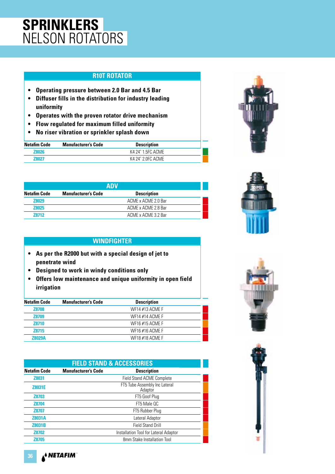## **SPRINKLERS** NELSON ROTATORS

#### **R10T ROTATOR**

- **Operating pressure between 2.0 Bar and 4.5 Bar**
- **Diffuser fills in the distribution for industry leading uniformity**
- **Operates with the proven rotator drive mechanism**
- **Flow regulated for maximum filled uniformity**
- **No riser vibration or sprinkler splash down**

| <b>Netafim Code</b> | <b>Manufacturer's Code</b> | <b>Description</b> |  |
|---------------------|----------------------------|--------------------|--|
| <b>Z8026</b>        |                            | K4 24° 1.5FC ACME  |  |
| 78027               |                            | K4 24° 2.0FC ACME  |  |

| <b>ADV</b>          |                            |                     |  |
|---------------------|----------------------------|---------------------|--|
| <b>Netafim Code</b> | <b>Manufacturer's Code</b> | <b>Description</b>  |  |
| <b>Z8029</b>        |                            | ACME x ACME 2.0 Bar |  |
| <b>Z8025</b>        |                            | ACME x ACME 2.8 Bar |  |
| 78712               |                            | ACME x ACME 3.2 Bar |  |

#### **WINDFIGHTER**

- **As per the R2000 but with a special design of jet to penetrate wind**
- **Designed to work in windy conditions only**
- **Offers low maintenance and unique uniformity in open field irrigation**

| <b>Description</b> |  |
|--------------------|--|
|                    |  |
| WF14 #13 ACME F    |  |
| WF14 #14 ACME F    |  |
| WF16 #15 ACME F    |  |
| WF16 #16 ACME F    |  |
| WF18 #18 ACME F    |  |
|                    |  |

| <b>FIELD STAND &amp; ACCESSORIES</b> |                            |                                          |  |
|--------------------------------------|----------------------------|------------------------------------------|--|
| <b>Netafim Code</b>                  | <b>Manufacturer's Code</b> | <b>Description</b>                       |  |
| <b>Z8031</b>                         |                            | Field Stand ACME Complete                |  |
| <b>Z8031E</b>                        |                            | FT5 Tube Assembly Inc Lateral<br>Adaptor |  |
| <b>Z8703</b>                         |                            | FT5 Goof Plug                            |  |
| Z8704                                |                            | FT5 Male OC                              |  |
| <b>Z8707</b>                         |                            | FT5 Rubber Plug                          |  |
| <b>Z8031A</b>                        |                            | Lateral Adaptor                          |  |
| <b>Z8031B</b>                        |                            | <b>Field Stand Drill</b>                 |  |
| <b>Z8702</b>                         |                            | Installation Tool for Lateral Adaptor    |  |
| <b>Z8705</b>                         |                            | 8mm Stake Installation Tool              |  |







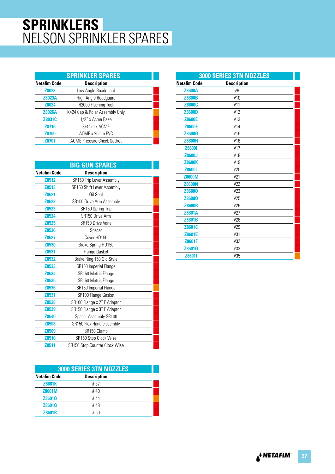## **SPRINKLERS** NELSON SPRINKLER SPARES

|                     | <b>SPRINKLER SPARES</b>           |
|---------------------|-----------------------------------|
| <b>Netafim Code</b> | <b>Description</b>                |
| <b>Z8023</b>        | Low Angle Roadguard               |
| <b>Z8023A</b>       | High Angle Roadguard              |
| <b>Z8024</b>        | R2000 Flushing Tool               |
| <b>Z8026A</b>       | K424 Cap & Rolar Assembly Only    |
| Z8031C              | 1/2" x Acme Base                  |
| Z8716               | 3/4" m x ACME                     |
| <b>Z8700</b>        | ACME x 25mm PVC                   |
| <b>Z8701</b>        | <b>ACME Pressure Check Socket</b> |

|                     | <b>BIG GUN SPARES</b>         |  |
|---------------------|-------------------------------|--|
| <b>Netafim Code</b> | <b>Description</b>            |  |
| Z8512               | SR150 Trip Lever Assembly     |  |
| Z8513               | SR150 Shift Lever Assembly    |  |
| Z8521               | Oil Seal                      |  |
| Z8522               | SR150 Drive Arm Assembly      |  |
| Z8523               | SR150 Spring Trip             |  |
| <b>Z8524</b>        | SR150 Drive Arm               |  |
| <b>Z8525</b>        | SR150 Drive Vane              |  |
| Z8526               | Spacer                        |  |
| <b>Z8527</b>        | Cover HD150                   |  |
| Z8530               | Brake Spring HD150            |  |
| Z8531               | Flange Gasket                 |  |
| Z8532               | Brake Ring 150 Old Style      |  |
| Z8533               | SR150 Imperial Flange         |  |
| Z8534               | SR150 Metric Flange           |  |
| Z8535               | SR150 Metric Flange           |  |
| Z8536               | SR150 Imperial Flange         |  |
| Z8537               | SR100 Flange Gasket           |  |
| Z8538               | SR100 Flange x 2" F Adaptor   |  |
| Z8539               | SR150 Flange x 3" F Adaptor   |  |
| Z8540               | Spacer Assembly SR100         |  |
| <b>Z8508</b>        | SR150 Flex Handle ssembly     |  |
| Z8509               | SR150 Clamp                   |  |
| Z8510               | SR150 Stop Clock Wise         |  |
| Z8511               | SR150 Stop Counter Clock Wise |  |

| <b>3000 SERIES 3TN NOZZLES</b>            |      |  |  |
|-------------------------------------------|------|--|--|
| <b>Netafim Code</b><br><b>Description</b> |      |  |  |
| <b>Z8601K</b>                             | # 37 |  |  |
| <b>Z8601M</b>                             | #40  |  |  |
| Z86010                                    | #44  |  |  |
| Z8601Q                                    | #48  |  |  |
| <b>Z8601R</b>                             | #50  |  |  |

| <b>3000 SERIES 3TN NOZZLES</b>            |     |  |
|-------------------------------------------|-----|--|
| <b>Description</b><br><b>Netafim Code</b> |     |  |
| <b>Z8600A</b>                             | #9  |  |
| <b>Z8600B</b>                             | #10 |  |
| Z8600C                                    | #11 |  |
| <b>Z8600D</b>                             | #12 |  |
| <b>Z8600E</b>                             | #13 |  |
| <b>Z8600F</b>                             | #14 |  |
| <b>Z8600G</b>                             | #15 |  |
| <b>Z8600H</b>                             | #16 |  |
| <b>Z86001</b>                             | #17 |  |
| Z8600J                                    | #18 |  |
| <b>Z8600K</b>                             | #19 |  |
| <b>Z8600L</b>                             | #20 |  |
| <b>Z8600M</b>                             | #21 |  |
| <b>Z8600N</b>                             | #22 |  |
| Z86000                                    | #23 |  |
| Z8600Q                                    | #25 |  |
| <b>Z8600R</b>                             | #26 |  |
| <b>Z8601A</b>                             | #27 |  |
| Z8601B                                    | #28 |  |
| Z8601C                                    | #29 |  |
| Z8601E                                    | #31 |  |
| Z8601F                                    | #32 |  |
| Z8601G                                    | #33 |  |
| Z8601I                                    | #35 |  |